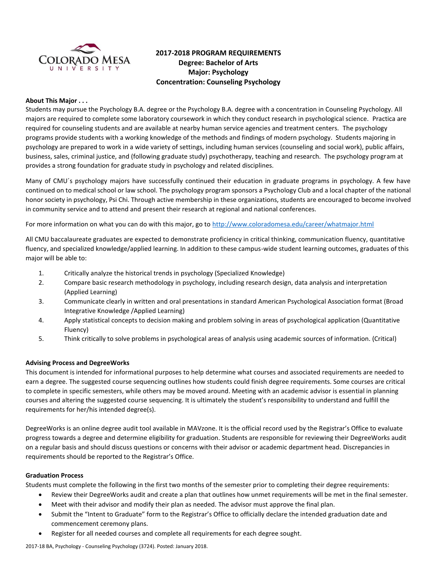

# **2017-2018 PROGRAM REQUIREMENTS Degree: Bachelor of Arts Major: Psychology Concentration: Counseling Psychology**

# **About This Major . . .**

Students may pursue the Psychology B.A. degree or the Psychology B.A. degree with a concentration in Counseling Psychology. All majors are required to complete some laboratory coursework in which they conduct research in psychological science. Practica are required for counseling students and are available at nearby human service agencies and treatment centers. The psychology programs provide students with a working knowledge of the methods and findings of modern psychology. Students majoring in psychology are prepared to work in a wide variety of settings, including human services (counseling and social work), public affairs, business, sales, criminal justice, and (following graduate study) psychotherapy, teaching and research. The psychology program at provides a strong foundation for graduate study in psychology and related disciplines.

Many of CMU´s psychology majors have successfully continued their education in graduate programs in psychology. A few have continued on to medical school or law school. The psychology program sponsors a Psychology Club and a local chapter of the national honor society in psychology, Psi Chi. Through active membership in these organizations, students are encouraged to become involved in community service and to attend and present their research at regional and national conferences.

For more information on what you can do with this major, go to<http://www.coloradomesa.edu/career/whatmajor.html>

All CMU baccalaureate graduates are expected to demonstrate proficiency in critical thinking, communication fluency, quantitative fluency, and specialized knowledge/applied learning. In addition to these campus-wide student learning outcomes, graduates of this major will be able to:

- 1. Critically analyze the historical trends in psychology (Specialized Knowledge)
- 2. Compare basic research methodology in psychology, including research design, data analysis and interpretation (Applied Learning)
- 3. Communicate clearly in written and oral presentations in standard American Psychological Association format (Broad Integrative Knowledge /Applied Learning)
- 4. Apply statistical concepts to decision making and problem solving in areas of psychological application (Quantitative Fluency)
- 5. Think critically to solve problems in psychological areas of analysis using academic sources of information. (Critical)

# **Advising Process and DegreeWorks**

This document is intended for informational purposes to help determine what courses and associated requirements are needed to earn a degree. The suggested course sequencing outlines how students could finish degree requirements. Some courses are critical to complete in specific semesters, while others may be moved around. Meeting with an academic advisor is essential in planning courses and altering the suggested course sequencing. It is ultimately the student's responsibility to understand and fulfill the requirements for her/his intended degree(s).

DegreeWorks is an online degree audit tool available in MAVzone. It is the official record used by the Registrar's Office to evaluate progress towards a degree and determine eligibility for graduation. Students are responsible for reviewing their DegreeWorks audit on a regular basis and should discuss questions or concerns with their advisor or academic department head. Discrepancies in requirements should be reported to the Registrar's Office.

#### **Graduation Process**

Students must complete the following in the first two months of the semester prior to completing their degree requirements:

- Review their DegreeWorks audit and create a plan that outlines how unmet requirements will be met in the final semester.
- Meet with their advisor and modify their plan as needed. The advisor must approve the final plan.
- Submit the "Intent to Graduate" form to the Registrar's Office to officially declare the intended graduation date and commencement ceremony plans.
- Register for all needed courses and complete all requirements for each degree sought.

2017-18 BA, Psychology - Counseling Psychology (3724). Posted: January 2018.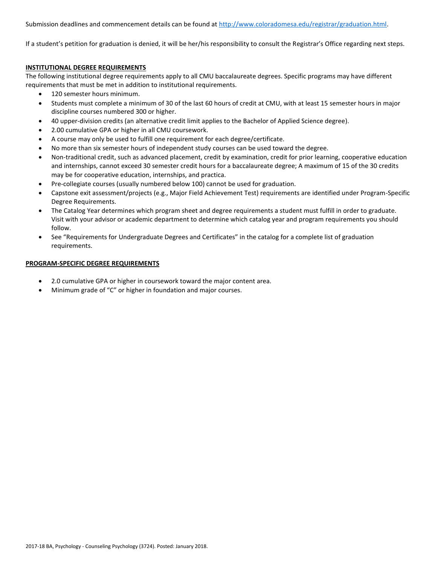Submission deadlines and commencement details can be found at [http://www.coloradomesa.edu/registrar/graduation.html.](http://www.coloradomesa.edu/registrar/graduation.html)

If a student's petition for graduation is denied, it will be her/his responsibility to consult the Registrar's Office regarding next steps.

# **INSTITUTIONAL DEGREE REQUIREMENTS**

The following institutional degree requirements apply to all CMU baccalaureate degrees. Specific programs may have different requirements that must be met in addition to institutional requirements.

- 120 semester hours minimum.
- Students must complete a minimum of 30 of the last 60 hours of credit at CMU, with at least 15 semester hours in major discipline courses numbered 300 or higher.
- 40 upper-division credits (an alternative credit limit applies to the Bachelor of Applied Science degree).
- 2.00 cumulative GPA or higher in all CMU coursework.
- A course may only be used to fulfill one requirement for each degree/certificate.
- No more than six semester hours of independent study courses can be used toward the degree.
- Non-traditional credit, such as advanced placement, credit by examination, credit for prior learning, cooperative education and internships, cannot exceed 30 semester credit hours for a baccalaureate degree; A maximum of 15 of the 30 credits may be for cooperative education, internships, and practica.
- Pre-collegiate courses (usually numbered below 100) cannot be used for graduation.
- Capstone exit assessment/projects (e.g., Major Field Achievement Test) requirements are identified under Program-Specific Degree Requirements.
- The Catalog Year determines which program sheet and degree requirements a student must fulfill in order to graduate. Visit with your advisor or academic department to determine which catalog year and program requirements you should follow.
- See "Requirements for Undergraduate Degrees and Certificates" in the catalog for a complete list of graduation requirements.

#### **PROGRAM-SPECIFIC DEGREE REQUIREMENTS**

- 2.0 cumulative GPA or higher in coursework toward the major content area.
- Minimum grade of "C" or higher in foundation and major courses.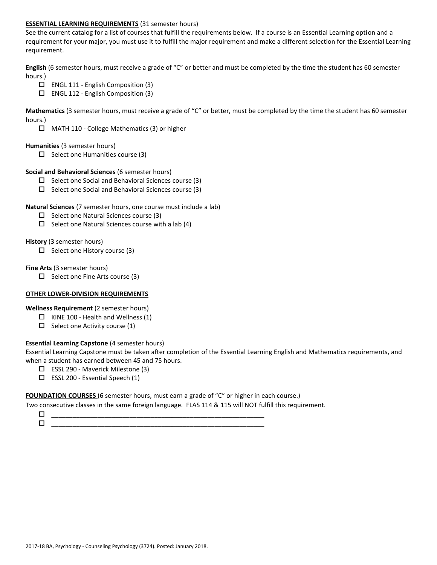# **ESSENTIAL LEARNING REQUIREMENTS** (31 semester hours)

See the current catalog for a list of courses that fulfill the requirements below. If a course is an Essential Learning option and a requirement for your major, you must use it to fulfill the major requirement and make a different selection for the Essential Learning requirement.

**English** (6 semester hours, must receive a grade of "C" or better and must be completed by the time the student has 60 semester hours.)

- $\Box$  ENGL 111 English Composition (3)
- ENGL 112 English Composition (3)

**Mathematics** (3 semester hours, must receive a grade of "C" or better, must be completed by the time the student has 60 semester hours.)

MATH 110 - College Mathematics (3) or higher

#### **Humanities** (3 semester hours)

 $\Box$  Select one Humanities course (3)

#### **Social and Behavioral Sciences** (6 semester hours)

- $\Box$  Select one Social and Behavioral Sciences course (3)
- $\square$  Select one Social and Behavioral Sciences course (3)

# **Natural Sciences** (7 semester hours, one course must include a lab)

- $\square$  Select one Natural Sciences course (3)
- $\Box$  Select one Natural Sciences course with a lab (4)

# **History** (3 semester hours)

 $\Box$  Select one History course (3)

# **Fine Arts** (3 semester hours)

 $\Box$  Select one Fine Arts course (3)

# **OTHER LOWER-DIVISION REQUIREMENTS**

**Wellness Requirement** (2 semester hours)

- $\Box$  KINE 100 Health and Wellness (1)
- $\Box$  Select one Activity course (1)

# **Essential Learning Capstone** (4 semester hours)

Essential Learning Capstone must be taken after completion of the Essential Learning English and Mathematics requirements, and when a student has earned between 45 and 75 hours.

- ESSL 290 Maverick Milestone (3)
- $\Box$  ESSL 200 Essential Speech (1)

#### **FOUNDATION COURSES** (6 semester hours, must earn a grade of "C" or higher in each course.)

Two consecutive classes in the same foreign language. FLAS 114 & 115 will NOT fulfill this requirement.

 \_\_\_\_\_\_\_\_\_\_\_\_\_\_\_\_\_\_\_\_\_\_\_\_\_\_\_\_\_\_\_\_\_\_\_\_\_\_\_\_\_\_\_\_\_\_\_\_\_\_\_\_\_\_\_\_\_\_\_\_ \_\_\_\_\_\_\_\_\_\_\_\_\_\_\_\_\_\_\_\_\_\_\_\_\_\_\_\_\_\_\_\_\_\_\_\_\_\_\_\_\_\_\_\_\_\_\_\_\_\_\_\_\_\_\_\_\_\_\_\_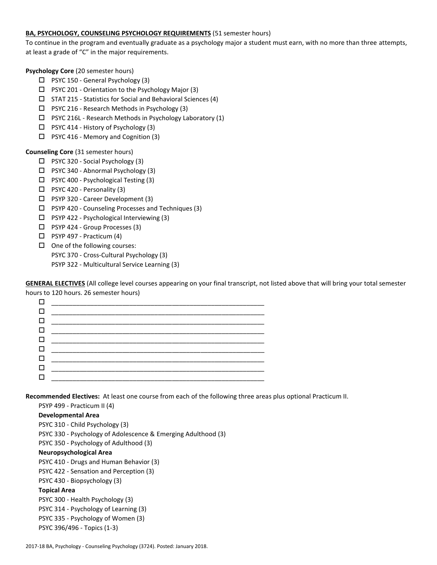# **BA, PSYCHOLOGY, COUNSELING PSYCHOLOGY REQUIREMENTS** (51 semester hours)

To continue in the program and eventually graduate as a psychology major a student must earn, with no more than three attempts, at least a grade of "C" in the major requirements.

**Psychology Core** (20 semester hours)

- □ PSYC 150 General Psychology (3)
- PSYC 201 Orientation to the Psychology Major (3)
- $\square$  STAT 215 Statistics for Social and Behavioral Sciences (4)
- PSYC 216 Research Methods in Psychology (3)
- PSYC 216L Research Methods in Psychology Laboratory (1)
- □ PSYC 414 History of Psychology (3)
- $\Box$  PSYC 416 Memory and Cognition (3)

# **Counseling Core** (31 semester hours)

- PSYC 320 Social Psychology (3)
- PSYC 340 Abnormal Psychology (3)
- □ PSYC 400 Psychological Testing (3)
- $\Box$  PSYC 420 Personality (3)
- PSYP 320 Career Development (3)
- $\Box$  PSYP 420 Counseling Processes and Techniques (3)
- $\square$  PSYP 422 Psychological Interviewing (3)
- □ PSYP 424 Group Processes (3)
- $\Box$  PSYP 497 Practicum (4)
- $\Box$  One of the following courses:
	- PSYC 370 Cross-Cultural Psychology (3)
	- PSYP 322 Multicultural Service Learning (3)

**GENERAL ELECTIVES** (All college level courses appearing on your final transcript, not listed above that will bring your total semester hours to 120 hours. 26 semester hours)

**Recommended Electives:** At least one course from each of the following three areas plus optional Practicum II.

PSYP 499 - Practicum II (4)

#### **Developmental Area**

PSYC 310 - Child Psychology (3) PSYC 330 - Psychology of Adolescence & Emerging Adulthood (3) PSYC 350 - Psychology of Adulthood (3) **Neuropsychological Area** PSYC 410 - Drugs and Human Behavior (3) PSYC 422 - Sensation and Perception (3) PSYC 430 - Biopsychology (3) **Topical Area** PSYC 300 - Health Psychology (3) PSYC 314 - Psychology of Learning (3) PSYC 335 - Psychology of Women (3) PSYC 396/496 - Topics (1-3)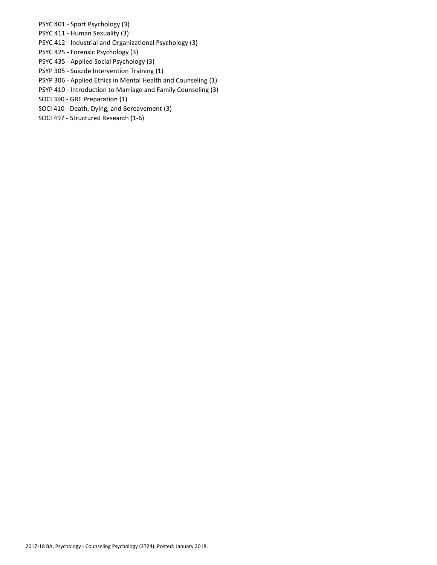PSYC 401 - Sport Psychology (3)

PSYC 411 - Human Sexuality (3)

PSYC 412 - Industrial and Organizational Psychology (3)

- PSYC 425 Forensic Psychology (3)
- PSYC 435 Applied Social Psychology (3)
- PSYP 305 Suicide Intervention Training (1)
- PSYP 306 Applied Ethics in Mental Health and Counseling (1)
- PSYP 410 Introduction to Marriage and Family Counseling (3)
- SOCI 390 GRE Preparation (1)
- SOCI 410 Death, Dying, and Bereavement (3)
- SOCI 497 Structured Research (1-6)